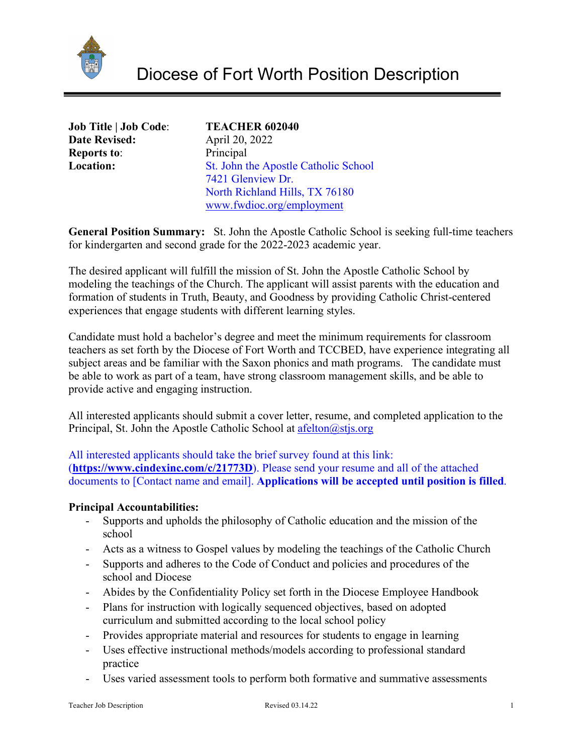

| <b>Job Title   Job Code:</b> |
|------------------------------|
| <b>Date Revised:</b>         |
| <b>Reports to:</b>           |
| Location:                    |

# **Job Title | Job Code**: **TEACHER 602040**

**Date Revised:** April 20, 2022 **Principal St. John the Apostle Catholic School**  7421 Glenview Dr. North Richland Hills, TX 76180 [www.fwdioc.org/employment](http://www.fwdioc.org/employment)

**General Position Summary:** St. John the Apostle Catholic School is seeking full-time teachers for kindergarten and second grade for the 2022-2023 academic year.

The desired applicant will fulfill the mission of St. John the Apostle Catholic School by modeling the teachings of the Church. The applicant will assist parents with the education and formation of students in Truth, Beauty, and Goodness by providing Catholic Christ-centered experiences that engage students with different learning styles.

Candidate must hold a bachelor's degree and meet the minimum requirements for classroom teachers as set forth by the Diocese of Fort Worth and TCCBED, have experience integrating all subject areas and be familiar with the Saxon phonics and math programs. The candidate must be able to work as part of a team, have strong classroom management skills, and be able to provide active and engaging instruction.

All interested applicants should submit a cover letter, resume, and completed application to the Principal, St. John the Apostle Catholic School at  $\text{afelton}(a)$ stjs.org

All interested applicants should take the brief survey found at this link: (**<https://www.cindexinc.com/c/21773D>**). Please send your resume and all of the attached documents to [Contact name and email]. **Applications will be accepted until position is filled**.

### **Principal Accountabilities:**

- Supports and upholds the philosophy of Catholic education and the mission of the school
- Acts as a witness to Gospel values by modeling the teachings of the Catholic Church
- Supports and adheres to the Code of Conduct and policies and procedures of the school and Diocese
- Abides by the Confidentiality Policy set forth in the Diocese Employee Handbook
- Plans for instruction with logically sequenced objectives, based on adopted curriculum and submitted according to the local school policy
- Provides appropriate material and resources for students to engage in learning
- Uses effective instructional methods/models according to professional standard practice
- Uses varied assessment tools to perform both formative and summative assessments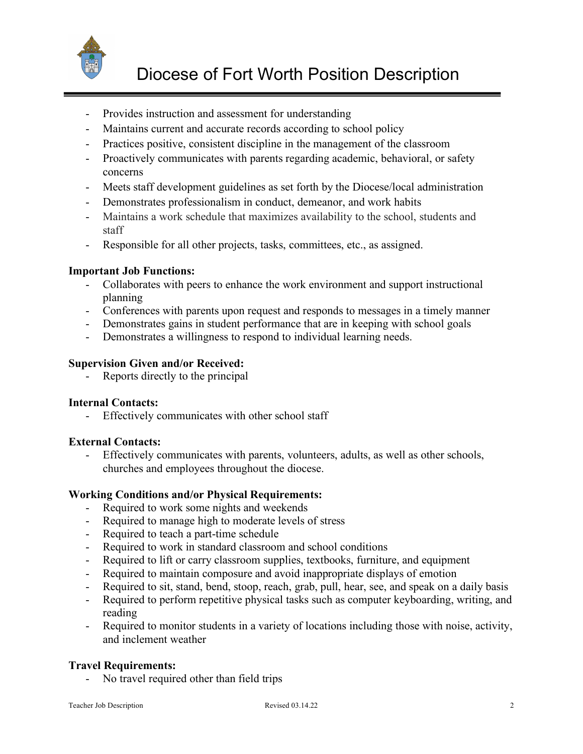

- Provides instruction and assessment for understanding
- Maintains current and accurate records according to school policy
- Practices positive, consistent discipline in the management of the classroom
- Proactively communicates with parents regarding academic, behavioral, or safety concerns
- Meets staff development guidelines as set forth by the Diocese/local administration
- Demonstrates professionalism in conduct, demeanor, and work habits
- Maintains a work schedule that maximizes availability to the school, students and staff
- Responsible for all other projects, tasks, committees, etc., as assigned.

### **Important Job Functions:**

- Collaborates with peers to enhance the work environment and support instructional planning
- Conferences with parents upon request and responds to messages in a timely manner
- Demonstrates gains in student performance that are in keeping with school goals
- Demonstrates a willingness to respond to individual learning needs.

#### **Supervision Given and/or Received:**

Reports directly to the principal

### **Internal Contacts:**

- Effectively communicates with other school staff

### **External Contacts:**

- Effectively communicates with parents, volunteers, adults, as well as other schools, churches and employees throughout the diocese.

### **Working Conditions and/or Physical Requirements:**

- Required to work some nights and weekends
- Required to manage high to moderate levels of stress
- Required to teach a part-time schedule
- Required to work in standard classroom and school conditions
- Required to lift or carry classroom supplies, textbooks, furniture, and equipment
- Required to maintain composure and avoid inappropriate displays of emotion
- Required to sit, stand, bend, stoop, reach, grab, pull, hear, see, and speak on a daily basis
- Required to perform repetitive physical tasks such as computer keyboarding, writing, and reading
- Required to monitor students in a variety of locations including those with noise, activity, and inclement weather

### **Travel Requirements:**

- No travel required other than field trips